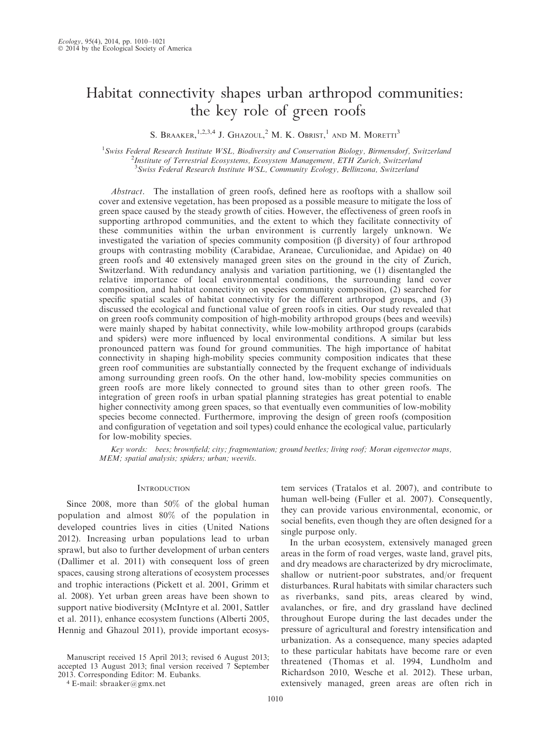# Habitat connectivity shapes urban arthropod communities: the key role of green roofs

S. BRAAKER,  $^{1,2,3,4}$  J. Ghazoul,  $^2$  M. K. Obrist,  $^1$  and M. Moretti<sup>3</sup>

<sup>1</sup> Swiss Federal Research Institute WSL, Biodiversity and Conservation Biology, Birmensdorf, Switzerland<br><sup>2</sup>Institute of Terrestrial Econystems, Econystam Management, ETH Zwich, Switzerland <sup>2</sup>Institute of Terrestrial Ecosystems, Ecosystem Management, ETH Zurich, Switzerland <sup>3</sup> Swiss Federal Research Institute WSL, Community Ecology, Bellinzona, Switzerland

Abstract. The installation of green roofs, defined here as rooftops with a shallow soil cover and extensive vegetation, has been proposed as a possible measure to mitigate the loss of green space caused by the steady growth of cities. However, the effectiveness of green roofs in supporting arthropod communities, and the extent to which they facilitate connectivity of these communities within the urban environment is currently largely unknown. We investigated the variation of species community composition  $(\beta$  diversity) of four arthropod groups with contrasting mobility (Carabidae, Araneae, Curculionidae, and Apidae) on 40 green roofs and 40 extensively managed green sites on the ground in the city of Zurich, Switzerland. With redundancy analysis and variation partitioning, we (1) disentangled the relative importance of local environmental conditions, the surrounding land cover composition, and habitat connectivity on species community composition, (2) searched for specific spatial scales of habitat connectivity for the different arthropod groups, and (3) discussed the ecological and functional value of green roofs in cities. Our study revealed that on green roofs community composition of high-mobility arthropod groups (bees and weevils) were mainly shaped by habitat connectivity, while low-mobility arthropod groups (carabids and spiders) were more influenced by local environmental conditions. A similar but less pronounced pattern was found for ground communities. The high importance of habitat connectivity in shaping high-mobility species community composition indicates that these green roof communities are substantially connected by the frequent exchange of individuals among surrounding green roofs. On the other hand, low-mobility species communities on green roofs are more likely connected to ground sites than to other green roofs. The integration of green roofs in urban spatial planning strategies has great potential to enable higher connectivity among green spaces, so that eventually even communities of low-mobility species become connected. Furthermore, improving the design of green roofs (composition and configuration of vegetation and soil types) could enhance the ecological value, particularly for low-mobility species.

Key words: bees; brownfield; city; fragmentation; ground beetles; living roof; Moran eigenvector maps, MEM; spatial analysis; spiders; urban; weevils.

## **INTRODUCTION**

Since 2008, more than 50% of the global human population and almost 80% of the population in developed countries lives in cities (United Nations 2012). Increasing urban populations lead to urban sprawl, but also to further development of urban centers (Dallimer et al. 2011) with consequent loss of green spaces, causing strong alterations of ecosystem processes and trophic interactions (Pickett et al. 2001, Grimm et al. 2008). Yet urban green areas have been shown to support native biodiversity (McIntyre et al. 2001, Sattler et al. 2011), enhance ecosystem functions (Alberti 2005, Hennig and Ghazoul 2011), provide important ecosys-

Manuscript received 15 April 2013; revised 6 August 2013; accepted 13 August 2013; final version received 7 September 2013. Corresponding Editor: M. Eubanks.

<sup>4</sup> E-mail: sbraaker@gmx.net

tem services (Tratalos et al. 2007), and contribute to human well-being (Fuller et al. 2007). Consequently, they can provide various environmental, economic, or social benefits, even though they are often designed for a single purpose only.

In the urban ecosystem, extensively managed green areas in the form of road verges, waste land, gravel pits, and dry meadows are characterized by dry microclimate, shallow or nutrient-poor substrates, and/or frequent disturbances. Rural habitats with similar characters such as riverbanks, sand pits, areas cleared by wind, avalanches, or fire, and dry grassland have declined throughout Europe during the last decades under the pressure of agricultural and forestry intensification and urbanization. As a consequence, many species adapted to these particular habitats have become rare or even threatened (Thomas et al. 1994, Lundholm and Richardson 2010, Wesche et al. 2012). These urban, extensively managed, green areas are often rich in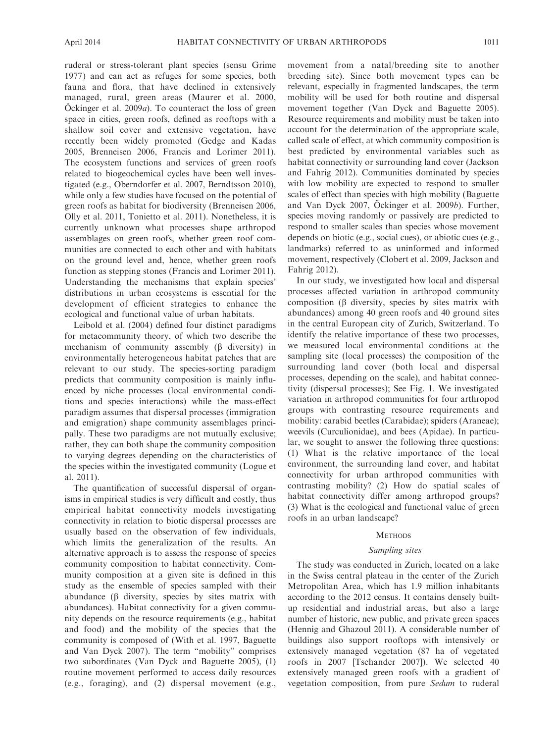ruderal or stress-tolerant plant species (sensu Grime 1977) and can act as refuges for some species, both fauna and flora, that have declined in extensively managed, rural, green areas (Maurer et al. 2000, Ockinger et al.  $2009a$ . To counteract the loss of green space in cities, green roofs, defined as rooftops with a shallow soil cover and extensive vegetation, have recently been widely promoted (Gedge and Kadas 2005, Brenneisen 2006, Francis and Lorimer 2011). The ecosystem functions and services of green roofs related to biogeochemical cycles have been well investigated (e.g., Oberndorfer et al. 2007, Berndtsson 2010), while only a few studies have focused on the potential of green roofs as habitat for biodiversity (Brenneisen 2006, Olly et al. 2011, Tonietto et al. 2011). Nonetheless, it is currently unknown what processes shape arthropod assemblages on green roofs, whether green roof communities are connected to each other and with habitats on the ground level and, hence, whether green roofs function as stepping stones (Francis and Lorimer 2011). Understanding the mechanisms that explain species' distributions in urban ecosystems is essential for the development of efficient strategies to enhance the ecological and functional value of urban habitats.

Leibold et al. (2004) defined four distinct paradigms for metacommunity theory, of which two describe the mechanism of community assembly  $(\beta$  diversity) in environmentally heterogeneous habitat patches that are relevant to our study. The species-sorting paradigm predicts that community composition is mainly influenced by niche processes (local environmental conditions and species interactions) while the mass-effect paradigm assumes that dispersal processes (immigration and emigration) shape community assemblages principally. These two paradigms are not mutually exclusive; rather, they can both shape the community composition to varying degrees depending on the characteristics of the species within the investigated community (Logue et al. 2011).

The quantification of successful dispersal of organisms in empirical studies is very difficult and costly, thus empirical habitat connectivity models investigating connectivity in relation to biotic dispersal processes are usually based on the observation of few individuals, which limits the generalization of the results. An alternative approach is to assess the response of species community composition to habitat connectivity. Community composition at a given site is defined in this study as the ensemble of species sampled with their abundance  $(\beta$  diversity, species by sites matrix with abundances). Habitat connectivity for a given community depends on the resource requirements (e.g., habitat and food) and the mobility of the species that the community is composed of (With et al. 1997, Baguette and Van Dyck 2007). The term ''mobility'' comprises two subordinates (Van Dyck and Baguette 2005), (1) routine movement performed to access daily resources (e.g., foraging), and (2) dispersal movement (e.g., movement from a natal/breeding site to another breeding site). Since both movement types can be relevant, especially in fragmented landscapes, the term mobility will be used for both routine and dispersal movement together (Van Dyck and Baguette 2005). Resource requirements and mobility must be taken into account for the determination of the appropriate scale, called scale of effect, at which community composition is best predicted by environmental variables such as habitat connectivity or surrounding land cover (Jackson and Fahrig 2012). Communities dominated by species with low mobility are expected to respond to smaller scales of effect than species with high mobility (Baguette and Van Dyck  $2007$ , Öckinger et al.  $2009b$ ). Further, species moving randomly or passively are predicted to respond to smaller scales than species whose movement depends on biotic (e.g., social cues), or abiotic cues (e.g., landmarks) referred to as uninformed and informed movement, respectively (Clobert et al. 2009, Jackson and Fahrig 2012).

In our study, we investigated how local and dispersal processes affected variation in arthropod community composition  $(\beta$  diversity, species by sites matrix with abundances) among 40 green roofs and 40 ground sites in the central European city of Zurich, Switzerland. To identify the relative importance of these two processes, we measured local environmental conditions at the sampling site (local processes) the composition of the surrounding land cover (both local and dispersal processes, depending on the scale), and habitat connectivity (dispersal processes); See Fig. 1. We investigated variation in arthropod communities for four arthropod groups with contrasting resource requirements and mobility: carabid beetles (Carabidae); spiders (Araneae); weevils (Curculionidae), and bees (Apidae). In particular, we sought to answer the following three questions: (1) What is the relative importance of the local environment, the surrounding land cover, and habitat connectivity for urban arthropod communities with contrasting mobility? (2) How do spatial scales of habitat connectivity differ among arthropod groups? (3) What is the ecological and functional value of green roofs in an urban landscape?

#### **METHODS**

## Sampling sites

The study was conducted in Zurich, located on a lake in the Swiss central plateau in the center of the Zurich Metropolitan Area, which has 1.9 million inhabitants according to the 2012 census. It contains densely builtup residential and industrial areas, but also a large number of historic, new public, and private green spaces (Hennig and Ghazoul 2011). A considerable number of buildings also support rooftops with intensively or extensively managed vegetation (87 ha of vegetated roofs in 2007 [Tschander 2007]). We selected 40 extensively managed green roofs with a gradient of vegetation composition, from pure Sedum to ruderal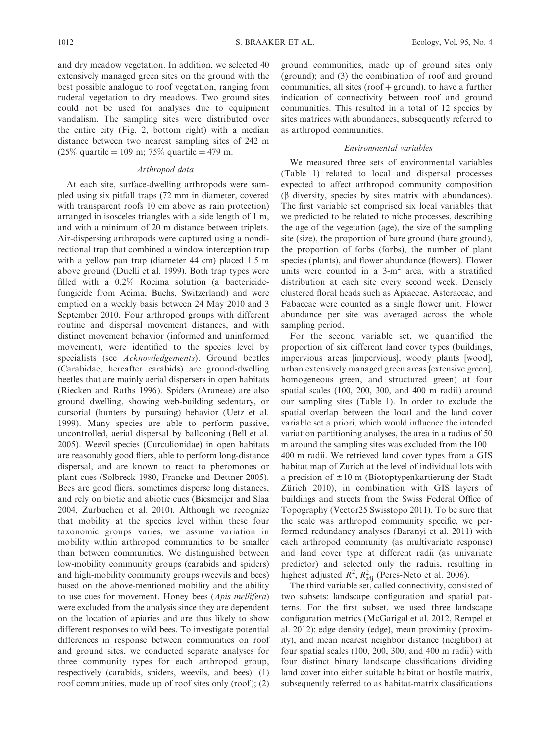and dry meadow vegetation. In addition, we selected 40 extensively managed green sites on the ground with the best possible analogue to roof vegetation, ranging from ruderal vegetation to dry meadows. Two ground sites could not be used for analyses due to equipment vandalism. The sampling sites were distributed over the entire city (Fig. 2, bottom right) with a median distance between two nearest sampling sites of 242 m  $(25\%$  quartile = 109 m; 75% quartile = 479 m.

## Arthropod data

At each site, surface-dwelling arthropods were sampled using six pitfall traps (72 mm in diameter, covered with transparent roofs 10 cm above as rain protection) arranged in isosceles triangles with a side length of 1 m, and with a minimum of 20 m distance between triplets. Air-dispersing arthropods were captured using a nondirectional trap that combined a window interception trap with a yellow pan trap (diameter 44 cm) placed 1.5 m above ground (Duelli et al. 1999). Both trap types were filled with a 0.2% Rocima solution (a bactericidefungicide from Acima, Buchs, Switzerland) and were emptied on a weekly basis between 24 May 2010 and 3 September 2010. Four arthropod groups with different routine and dispersal movement distances, and with distinct movement behavior (informed and uninformed movement), were identified to the species level by specialists (see Acknowledgements). Ground beetles (Carabidae, hereafter carabids) are ground-dwelling beetles that are mainly aerial dispersers in open habitats (Riecken and Raths 1996). Spiders (Araneae) are also ground dwelling, showing web-building sedentary, or cursorial (hunters by pursuing) behavior (Uetz et al. 1999). Many species are able to perform passive, uncontrolled, aerial dispersal by ballooning (Bell et al. 2005). Weevil species (Curculionidae) in open habitats are reasonably good fliers, able to perform long-distance dispersal, and are known to react to pheromones or plant cues (Solbreck 1980, Francke and Dettner 2005). Bees are good fliers, sometimes disperse long distances, and rely on biotic and abiotic cues (Biesmeijer and Slaa 2004, Zurbuchen et al. 2010). Although we recognize that mobility at the species level within these four taxonomic groups varies, we assume variation in mobility within arthropod communities to be smaller than between communities. We distinguished between low-mobility community groups (carabids and spiders) and high-mobility community groups (weevils and bees) based on the above-mentioned mobility and the ability to use cues for movement. Honey bees (Apis mellifera) were excluded from the analysis since they are dependent on the location of apiaries and are thus likely to show different responses to wild bees. To investigate potential differences in response between communities on roof and ground sites, we conducted separate analyses for three community types for each arthropod group, respectively (carabids, spiders, weevils, and bees): (1) roof communities, made up of roof sites only (roof ); (2)

ground communities, made up of ground sites only (ground); and (3) the combination of roof and ground communities, all sites (roof  $+$  ground), to have a further indication of connectivity between roof and ground communities. This resulted in a total of 12 species by sites matrices with abundances, subsequently referred to as arthropod communities.

## Environmental variables

We measured three sets of environmental variables (Table 1) related to local and dispersal processes expected to affect arthropod community composition  $(\beta$  diversity, species by sites matrix with abundances). The first variable set comprised six local variables that we predicted to be related to niche processes, describing the age of the vegetation (age), the size of the sampling site (size), the proportion of bare ground (bare ground), the proportion of forbs (forbs), the number of plant species (plants), and flower abundance (flowers). Flower units were counted in a  $3-m^2$  area, with a stratified distribution at each site every second week. Densely clustered floral heads such as Apiaceae, Asteraceae, and Fabaceae were counted as a single flower unit. Flower abundance per site was averaged across the whole sampling period.

For the second variable set, we quantified the proportion of six different land cover types (buildings, impervious areas [impervious], woody plants [wood], urban extensively managed green areas [extensive green], homogeneous green, and structured green) at four spatial scales (100, 200, 300, and 400 m radii) around our sampling sites (Table 1). In order to exclude the spatial overlap between the local and the land cover variable set a priori, which would influence the intended variation partitioning analyses, the area in a radius of 50 m around the sampling sites was excluded from the 100– 400 m radii. We retrieved land cover types from a GIS habitat map of Zurich at the level of individual lots with a precision of  $\pm 10$  m (Biotoptypenkartierung der Stadt Zürich 2010), in combination with GIS layers of buildings and streets from the Swiss Federal Office of Topography (Vector25 Swisstopo 2011). To be sure that the scale was arthropod community specific, we performed redundancy analyses (Baranyi et al. 2011) with each arthropod community (as multivariate response) and land cover type at different radii (as univariate predictor) and selected only the raduis, resulting in highest adjusted  $R^2$ ,  $R^2_{\text{adj}}$  (Peres-Neto et al. 2006).

The third variable set, called connectivity, consisted of two subsets: landscape configuration and spatial patterns. For the first subset, we used three landscape configuration metrics (McGarigal et al. 2012, Rempel et al. 2012): edge density (edge), mean proximity (proximity), and mean nearest neighbor distance (neighbor) at four spatial scales (100, 200, 300, and 400 m radii ) with four distinct binary landscape classifications dividing land cover into either suitable habitat or hostile matrix, subsequently referred to as habitat-matrix classifications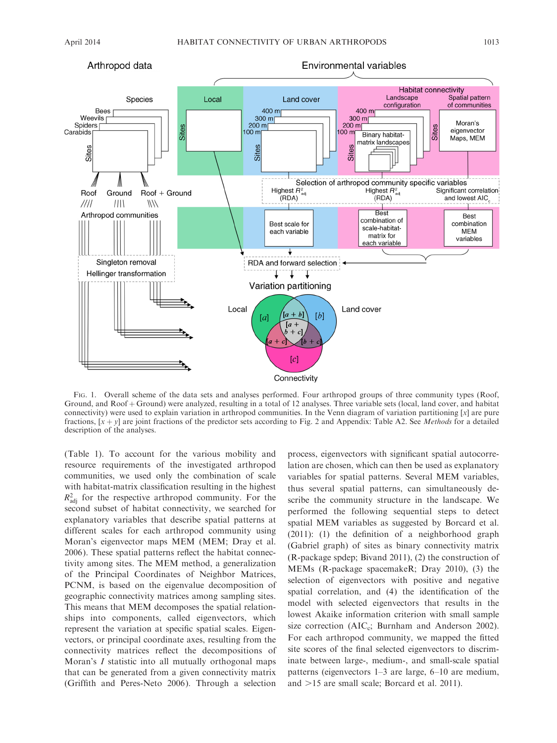

FIG. 1. Overall scheme of the data sets and analyses performed. Four arthropod groups of three community types (Roof, Ground, and Roof + Ground) were analyzed, resulting in a total of 12 analyses. Three variable sets (local, land cover, and habitat connectivity) were used to explain variation in arthropod communities. In the Venn diagram of variation partitioning  $[x]$  are pure fractions,  $[x + y]$  are joint fractions of the predictor sets according to Fig. 2 and Appendix: Table A2. See *Methods* for a detailed description of the analyses.

(Table 1). To account for the various mobility and resource requirements of the investigated arthropod communities, we used only the combination of scale with habitat-matrix classification resulting in the highest  $R_{\text{adj}}^2$  for the respective arthropod community. For the second subset of habitat connectivity, we searched for explanatory variables that describe spatial patterns at different scales for each arthropod community using Moran's eigenvector maps MEM (MEM; Dray et al. 2006). These spatial patterns reflect the habitat connectivity among sites. The MEM method, a generalization of the Principal Coordinates of Neighbor Matrices, PCNM, is based on the eigenvalue decomposition of geographic connectivity matrices among sampling sites. This means that MEM decomposes the spatial relationships into components, called eigenvectors, which represent the variation at specific spatial scales. Eigenvectors, or principal coordinate axes, resulting from the connectivity matrices reflect the decompositions of Moran's *I* statistic into all mutually orthogonal maps that can be generated from a given connectivity matrix (Griffith and Peres-Neto 2006). Through a selection process, eigenvectors with significant spatial autocorrelation are chosen, which can then be used as explanatory variables for spatial patterns. Several MEM variables, thus several spatial patterns, can simultaneously describe the community structure in the landscape. We performed the following sequential steps to detect spatial MEM variables as suggested by Borcard et al. (2011): (1) the definition of a neighborhood graph (Gabriel graph) of sites as binary connectivity matrix (R-package spdep; Bivand 2011), (2) the construction of MEMs (R-package spacemakeR; Dray 2010), (3) the selection of eigenvectors with positive and negative spatial correlation, and (4) the identification of the model with selected eigenvectors that results in the lowest Akaike information criterion with small sample size correction ( $AIC_c$ ; Burnham and Anderson 2002). For each arthropod community, we mapped the fitted site scores of the final selected eigenvectors to discriminate between large-, medium-, and small-scale spatial patterns (eigenvectors 1–3 are large, 6–10 are medium, and  $>15$  are small scale; Borcard et al. 2011).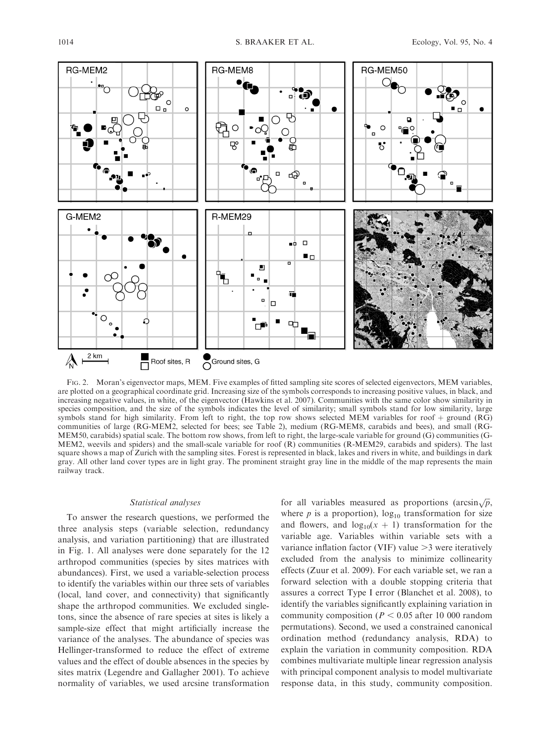

FIG. 2. Moran's eigenvector maps, MEM. Five examples of fitted sampling site scores of selected eigenvectors, MEM variables, are plotted on a geographical coordinate grid. Increasing size of the symbols corresponds to increasing positive values, in black, and increasing negative values, in white, of the eigenvector (Hawkins et al. 2007). Communities with the same color show similarity in species composition, and the size of the symbols indicates the level of similarity; small symbols stand for low similarity, large symbols stand for high similarity. From left to right, the top row shows selected MEM variables for roof  $+$  ground (RG) communities of large (RG-MEM2, selected for bees; see Table 2), medium (RG-MEM8, carabids and bees), and small (RG-MEM50, carabids) spatial scale. The bottom row shows, from left to right, the large-scale variable for ground (G) communities (G-MEM2, weevils and spiders) and the small-scale variable for roof  $(R)$  communities (R-MEM29, carabids and spiders). The last square shows a map of Zurich with the sampling sites. Forest is represented in black, lakes and rivers in white, and buildings in dark gray. All other land cover types are in light gray. The prominent straight gray line in the middle of the map represents the main railway track.

#### Statistical analyses

To answer the research questions, we performed the three analysis steps (variable selection, redundancy analysis, and variation partitioning) that are illustrated in Fig. 1. All analyses were done separately for the 12 arthropod communities (species by sites matrices with abundances). First, we used a variable-selection process to identify the variables within our three sets of variables (local, land cover, and connectivity) that significantly shape the arthropod communities. We excluded singletons, since the absence of rare species at sites is likely a sample-size effect that might artificially increase the variance of the analyses. The abundance of species was Hellinger-transformed to reduce the effect of extreme values and the effect of double absences in the species by sites matrix (Legendre and Gallagher 2001). To achieve normality of variables, we used arcsine transformation

for all variables measured as proportions (arcsin $\sqrt{p}$ , where  $p$  is a proportion),  $log_{10}$  transformation for size and flowers, and  $log_{10}(x + 1)$  transformation for the variable age. Variables within variable sets with a variance inflation factor (VIF) value  $>$ 3 were iteratively excluded from the analysis to minimize collinearity effects (Zuur et al. 2009). For each variable set, we ran a forward selection with a double stopping criteria that assures a correct Type I error (Blanchet et al. 2008), to identify the variables significantly explaining variation in community composition ( $P < 0.05$  after 10 000 random permutations). Second, we used a constrained canonical ordination method (redundancy analysis, RDA) to explain the variation in community composition. RDA combines multivariate multiple linear regression analysis with principal component analysis to model multivariate response data, in this study, community composition.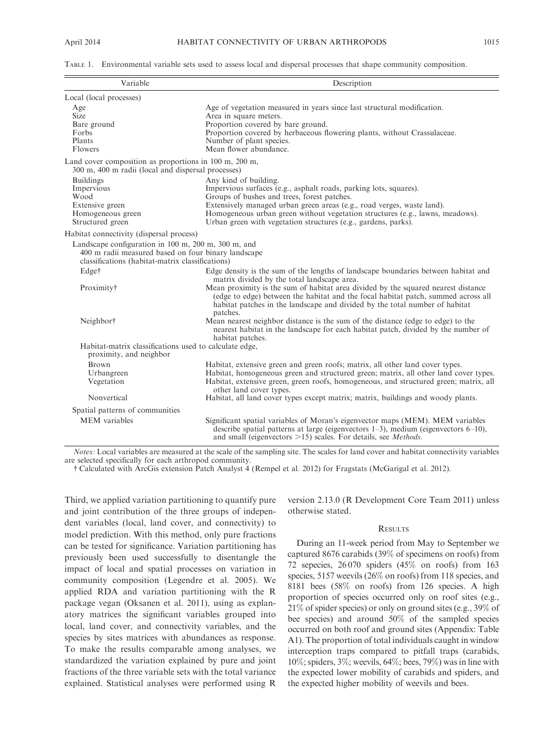| TABLE 1. Environmental variable sets used to assess local and dispersal processes that shape community composition. |  |
|---------------------------------------------------------------------------------------------------------------------|--|
|---------------------------------------------------------------------------------------------------------------------|--|

| Variable                                                                                                                                                       | Description                                                                                                                                                                                                                                                                                                                                                            |  |  |  |
|----------------------------------------------------------------------------------------------------------------------------------------------------------------|------------------------------------------------------------------------------------------------------------------------------------------------------------------------------------------------------------------------------------------------------------------------------------------------------------------------------------------------------------------------|--|--|--|
| Local (local processes)                                                                                                                                        |                                                                                                                                                                                                                                                                                                                                                                        |  |  |  |
| Age<br><b>Size</b><br>Bare ground<br>Forbs<br>Plants<br><b>Flowers</b>                                                                                         | Age of vegetation measured in years since last structural modification.<br>Area in square meters.<br>Proportion covered by bare ground.<br>Proportion covered by herbaceous flowering plants, without Crassulaceae.<br>Number of plant species.<br>Mean flower abundance.                                                                                              |  |  |  |
| Land cover composition as proportions in 100 m, 200 m,<br>300 m, 400 m radii (local and dispersal processes)                                                   |                                                                                                                                                                                                                                                                                                                                                                        |  |  |  |
| <b>Buildings</b><br>Impervious<br>Wood<br>Extensive green<br>Homogeneous green<br>Structured green                                                             | Any kind of building.<br>Impervious surfaces (e.g., asphalt roads, parking lots, squares).<br>Groups of bushes and trees, forest patches.<br>Extensively managed urban green areas (e.g., road verges, waste land).<br>Homogeneous urban green without vegetation structures (e.g., lawns, meadows).<br>Urban green with vegetation structures (e.g., gardens, parks). |  |  |  |
| Habitat connectivity (dispersal process)                                                                                                                       |                                                                                                                                                                                                                                                                                                                                                                        |  |  |  |
| Landscape configuration in 100 m, 200 m, 300 m, and<br>400 m radii measured based on four binary landscape<br>classifications (habitat-matrix classifications) |                                                                                                                                                                                                                                                                                                                                                                        |  |  |  |
| Edge†                                                                                                                                                          | Edge density is the sum of the lengths of landscape boundaries between habitat and                                                                                                                                                                                                                                                                                     |  |  |  |
| Proximity†                                                                                                                                                     | matrix divided by the total landscape area.<br>Mean proximity is the sum of habitat area divided by the squared nearest distance<br>(edge to edge) between the habitat and the focal habitat patch, summed across all<br>habitat patches in the landscape and divided by the total number of habitat<br>patches.                                                       |  |  |  |
| Neighbor <sup>†</sup>                                                                                                                                          | Mean nearest neighbor distance is the sum of the distance (edge to edge) to the<br>nearest habitat in the landscape for each habitat patch, divided by the number of<br>habitat patches.                                                                                                                                                                               |  |  |  |
| Habitat-matrix classifications used to calculate edge,<br>proximity, and neighbor                                                                              |                                                                                                                                                                                                                                                                                                                                                                        |  |  |  |
| <b>Brown</b><br>Urbangreen<br>Vegetation                                                                                                                       | Habitat, extensive green and green roofs; matrix, all other land cover types.<br>Habitat, homogeneous green and structured green; matrix, all other land cover types.<br>Habitat, extensive green, green roofs, homogeneous, and structured green; matrix, all<br>other land cover types.                                                                              |  |  |  |
| Nonvertical                                                                                                                                                    | Habitat, all land cover types except matrix; matrix, buildings and woody plants.                                                                                                                                                                                                                                                                                       |  |  |  |
| Spatial patterns of communities                                                                                                                                |                                                                                                                                                                                                                                                                                                                                                                        |  |  |  |
| <b>MEM</b> variables                                                                                                                                           | Significant spatial variables of Moran's eigenvector maps (MEM). MEM variables<br>describe spatial patterns at large (eigenvectors $1-3$ ), medium (eigenvectors $6-10$ ),<br>and small (eigenvectors $>15$ ) scales. For details, see <i>Methods</i> .                                                                                                                |  |  |  |

Notes: Local variables are measured at the scale of the sampling site. The scales for land cover and habitat connectivity variables are selected specifically for each arthropod community.

- Calculated with ArcGis extension Patch Analyst 4 (Rempel et al. 2012) for Fragstats (McGarigal et al. 2012).

Third, we applied variation partitioning to quantify pure and joint contribution of the three groups of independent variables (local, land cover, and connectivity) to model prediction. With this method, only pure fractions can be tested for significance. Variation partitioning has previously been used successfully to disentangle the impact of local and spatial processes on variation in community composition (Legendre et al. 2005). We applied RDA and variation partitioning with the R package vegan (Oksanen et al. 2011), using as explanatory matrices the significant variables grouped into local, land cover, and connectivity variables, and the species by sites matrices with abundances as response. To make the results comparable among analyses, we standardized the variation explained by pure and joint fractions of the three variable sets with the total variance explained. Statistical analyses were performed using R version 2.13.0 (R Development Core Team 2011) unless otherwise stated.

## **RESULTS**

During an 11-week period from May to September we captured 8676 carabids (39% of specimens on roofs) from 72 sepecies, 26 070 spiders (45% on roofs) from 163 species, 5157 weevils (26% on roofs) from 118 species, and 8181 bees (58% on roofs) from 126 species. A high proportion of species occurred only on roof sites (e.g., 21% of spider species) or only on ground sites (e.g., 39% of bee species) and around 50% of the sampled species occurred on both roof and ground sites (Appendix: Table A1). The proportion of total individuals caught in window interception traps compared to pitfall traps (carabids, 10%; spiders, 3%; weevils, 64%; bees, 79%) was in line with the expected lower mobility of carabids and spiders, and the expected higher mobility of weevils and bees.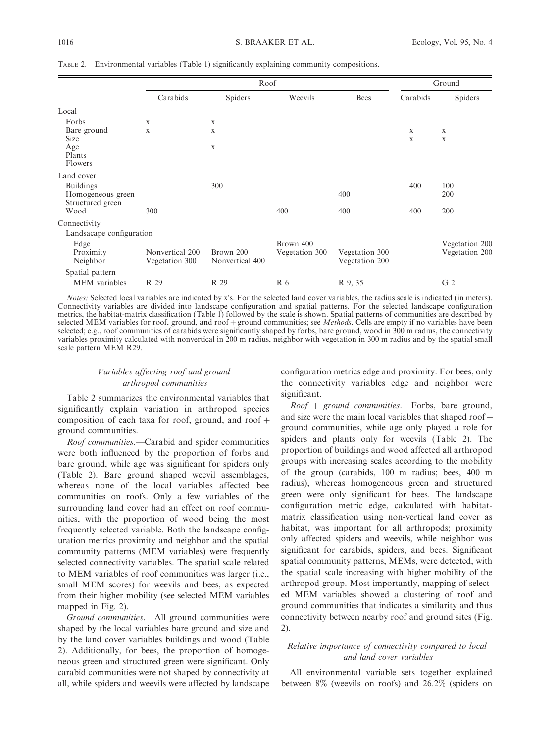|                                                           | Roof                              |                              |                             |                                  | Ground   |                                  |
|-----------------------------------------------------------|-----------------------------------|------------------------------|-----------------------------|----------------------------------|----------|----------------------------------|
|                                                           | Carabids                          | Spiders                      | Weevils                     | <b>Bees</b>                      | Carabids | Spiders                          |
| Local                                                     |                                   |                              |                             |                                  |          |                                  |
| Forbs                                                     | $\mathbf x$                       | X                            |                             |                                  |          |                                  |
| Bare ground<br><b>Size</b>                                | X                                 | X                            |                             |                                  | X<br>X   | X<br>X                           |
| Age<br>Plants<br>Flowers                                  |                                   | X                            |                             |                                  |          |                                  |
| Land cover                                                |                                   |                              |                             |                                  |          |                                  |
| <b>Buildings</b><br>Homogeneous green<br>Structured green |                                   | 300                          |                             | 400                              | 400      | 100<br>200                       |
| Wood                                                      | 300                               |                              | 400                         | 400                              | 400      | 200                              |
| Connectivity                                              |                                   |                              |                             |                                  |          |                                  |
| Landsacape configuration                                  |                                   |                              |                             |                                  |          |                                  |
| Edge<br>Proximity<br>Neighbor                             | Nonvertical 200<br>Vegetation 300 | Brown 200<br>Nonvertical 400 | Brown 400<br>Vegetation 300 | Vegetation 300<br>Vegetation 200 |          | Vegetation 200<br>Vegetation 200 |
| Spatial pattern                                           |                                   |                              |                             |                                  |          |                                  |
| <b>MEM</b> variables                                      | R 29                              | R 29                         | R 6                         | R 9, 35                          |          | G <sub>2</sub>                   |

TABLE 2. Environmental variables (Table 1) significantly explaining community compositions.

Notes: Selected local variables are indicated by x's. For the selected land cover variables, the radius scale is indicated (in meters). Connectivity variables are divided into landscape configuration and spatial patterns. For the selected landscape configuration metrics, the habitat-matrix classification (Table 1) followed by the scale is shown. Spatial patterns of communities are described by selected MEM variables for roof, ground, and roof  $+$  ground communities; see Methods. Cells are empty if no variables have been selected; e.g., roof communities of carabids were significantly shaped by forbs, bare ground, wood in 300 m radius, the connectivity variables proximity calculated with nonvertical in 200 m radius, neighbor with vegetation in 300 m radius and by the spatial small scale pattern MEM R29.

## Variables affecting roof and ground arthropod communities

Table 2 summarizes the environmental variables that significantly explain variation in arthropod species composition of each taxa for roof, ground, and roof  $+$ ground communities.

Roof communities.—Carabid and spider communities were both influenced by the proportion of forbs and bare ground, while age was significant for spiders only (Table 2). Bare ground shaped weevil assemblages, whereas none of the local variables affected bee communities on roofs. Only a few variables of the surrounding land cover had an effect on roof communities, with the proportion of wood being the most frequently selected variable. Both the landscape configuration metrics proximity and neighbor and the spatial community patterns (MEM variables) were frequently selected connectivity variables. The spatial scale related to MEM variables of roof communities was larger (i.e., small MEM scores) for weevils and bees, as expected from their higher mobility (see selected MEM variables mapped in Fig. 2).

Ground communities.—All ground communities were shaped by the local variables bare ground and size and by the land cover variables buildings and wood (Table 2). Additionally, for bees, the proportion of homogeneous green and structured green were significant. Only carabid communities were not shaped by connectivity at all, while spiders and weevils were affected by landscape

configuration metrics edge and proximity. For bees, only the connectivity variables edge and neighbor were significant.

 $Root + ground$  *communities.*—Forbs, bare ground, and size were the main local variables that shaped roof  $+$ ground communities, while age only played a role for spiders and plants only for weevils (Table 2). The proportion of buildings and wood affected all arthropod groups with increasing scales according to the mobility of the group (carabids, 100 m radius; bees, 400 m radius), whereas homogeneous green and structured green were only significant for bees. The landscape configuration metric edge, calculated with habitatmatrix classification using non-vertical land cover as habitat, was important for all arthropods; proximity only affected spiders and weevils, while neighbor was significant for carabids, spiders, and bees. Significant spatial community patterns, MEMs, were detected, with the spatial scale increasing with higher mobility of the arthropod group. Most importantly, mapping of selected MEM variables showed a clustering of roof and ground communities that indicates a similarity and thus connectivity between nearby roof and ground sites (Fig. 2).

## Relative importance of connectivity compared to local and land cover variables

All environmental variable sets together explained between 8% (weevils on roofs) and 26.2% (spiders on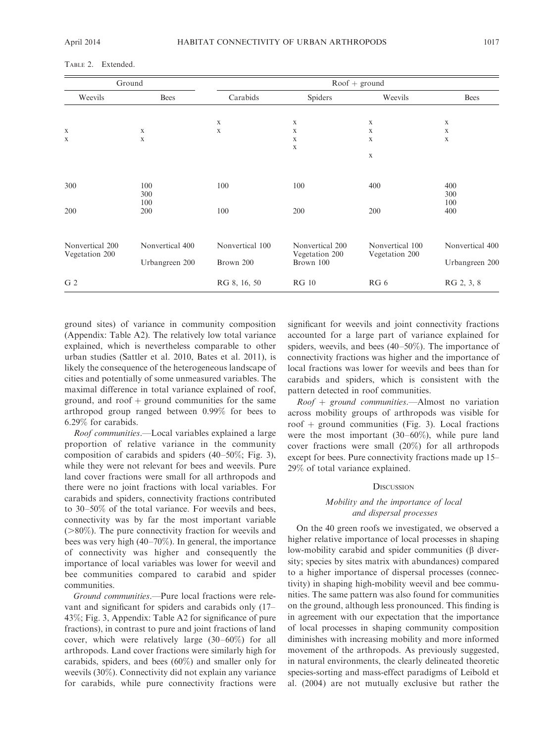|                                   | Ground          | $Root + ground$ |                 |                 |                 |
|-----------------------------------|-----------------|-----------------|-----------------|-----------------|-----------------|
| Weevils                           | <b>Bees</b>     | Carabids        | Spiders         | Weevils         | <b>Bees</b>     |
|                                   |                 |                 |                 |                 |                 |
|                                   |                 | $\mathbf X$     | $\mathbf X$     | $\mathbf X$     | $\mathbf X$     |
| X                                 | $\mathbf X$     | X               | $\mathbf X$     | $\mathbf X$     | X               |
| X                                 | X               |                 | $\mathbf x$     | X               | $\mathbf{x}$    |
|                                   |                 |                 | $\mathbf X$     |                 |                 |
|                                   |                 |                 |                 | X               |                 |
|                                   |                 |                 |                 |                 |                 |
| 300                               | 100             | 100             | 100             | 400             | 400             |
|                                   | 300             |                 |                 |                 | 300             |
|                                   | 100             |                 |                 |                 | 100             |
| 200                               | 200             | 100             | 200             | 200             | 400             |
|                                   |                 |                 |                 |                 |                 |
|                                   |                 |                 |                 |                 |                 |
| Nonvertical 200<br>Vegetation 200 | Nonvertical 400 | Nonvertical 100 | Nonvertical 200 | Nonvertical 100 | Nonvertical 400 |
|                                   |                 |                 | Vegetation 200  | Vegetation 200  | Urbangreen 200  |
|                                   | Urbangreen 200  | Brown 200       |                 | Brown 100       |                 |
| G <sub>2</sub>                    |                 | RG 8, 16, 50    | <b>RG 10</b>    | RG 6            | RG 2, 3, 8      |

TABLE 2. Extended.

ground sites) of variance in community composition (Appendix: Table A2). The relatively low total variance explained, which is nevertheless comparable to other urban studies (Sattler et al. 2010, Bates et al. 2011), is likely the consequence of the heterogeneous landscape of cities and potentially of some unmeasured variables. The maximal difference in total variance explained of roof, ground, and  $\text{roof} + \text{ground}$  communities for the same arthropod group ranged between 0.99% for bees to 6.29% for carabids.

Roof communities.—Local variables explained a large proportion of relative variance in the community composition of carabids and spiders (40–50%; Fig. 3), while they were not relevant for bees and weevils. Pure land cover fractions were small for all arthropods and there were no joint fractions with local variables. For carabids and spiders, connectivity fractions contributed to 30–50% of the total variance. For weevils and bees, connectivity was by far the most important variable  $(>80\%)$ . The pure connectivity fraction for weevils and bees was very high (40–70%). In general, the importance of connectivity was higher and consequently the importance of local variables was lower for weevil and bee communities compared to carabid and spider communities.

Ground communities.—Pure local fractions were relevant and significant for spiders and carabids only (17– 43%; Fig. 3, Appendix: Table A2 for significance of pure fractions), in contrast to pure and joint fractions of land cover, which were relatively large (30–60%) for all arthropods. Land cover fractions were similarly high for carabids, spiders, and bees (60%) and smaller only for weevils (30%). Connectivity did not explain any variance for carabids, while pure connectivity fractions were significant for weevils and joint connectivity fractions accounted for a large part of variance explained for spiders, weevils, and bees (40–50%). The importance of connectivity fractions was higher and the importance of local fractions was lower for weevils and bees than for carabids and spiders, which is consistent with the pattern detected in roof communities.

 $Root + ground$  *communities.* - Almost no variation across mobility groups of arthropods was visible for roof  $+$  ground communities (Fig. 3). Local fractions were the most important (30–60%), while pure land cover fractions were small (20%) for all arthropods except for bees. Pure connectivity fractions made up 15– 29% of total variance explained.

#### **DISCUSSION**

## Mobility and the importance of local and dispersal processes

On the 40 green roofs we investigated, we observed a higher relative importance of local processes in shaping low-mobility carabid and spider communities ( $\beta$  diversity; species by sites matrix with abundances) compared to a higher importance of dispersal processes (connectivity) in shaping high-mobility weevil and bee communities. The same pattern was also found for communities on the ground, although less pronounced. This finding is in agreement with our expectation that the importance of local processes in shaping community composition diminishes with increasing mobility and more informed movement of the arthropods. As previously suggested, in natural environments, the clearly delineated theoretic species-sorting and mass-effect paradigms of Leibold et al. (2004) are not mutually exclusive but rather the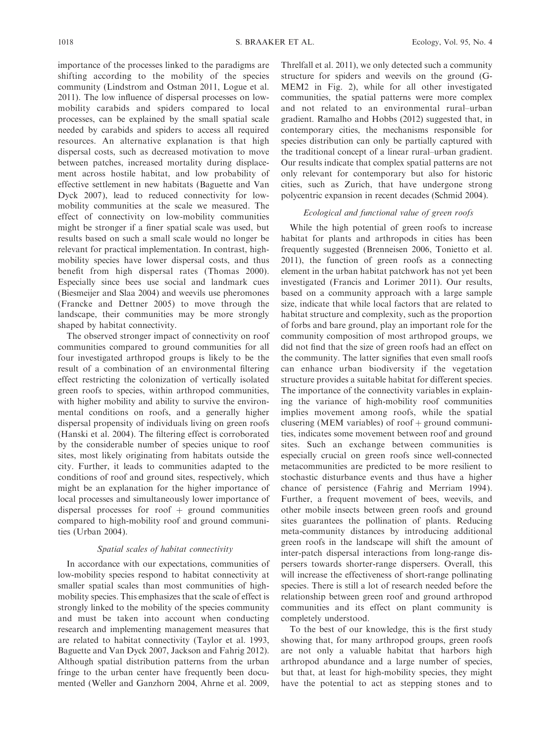importance of the processes linked to the paradigms are shifting according to the mobility of the species community (Lindstrom and Ostman 2011, Logue et al. 2011). The low influence of dispersal processes on lowmobility carabids and spiders compared to local processes, can be explained by the small spatial scale needed by carabids and spiders to access all required resources. An alternative explanation is that high dispersal costs, such as decreased motivation to move between patches, increased mortality during displacement across hostile habitat, and low probability of effective settlement in new habitats (Baguette and Van Dyck 2007), lead to reduced connectivity for lowmobility communities at the scale we measured. The effect of connectivity on low-mobility communities might be stronger if a finer spatial scale was used, but results based on such a small scale would no longer be relevant for practical implementation. In contrast, highmobility species have lower dispersal costs, and thus benefit from high dispersal rates (Thomas 2000). Especially since bees use social and landmark cues (Biesmeijer and Slaa 2004) and weevils use pheromones (Francke and Dettner 2005) to move through the landscape, their communities may be more strongly shaped by habitat connectivity.

The observed stronger impact of connectivity on roof communities compared to ground communities for all four investigated arthropod groups is likely to be the result of a combination of an environmental filtering effect restricting the colonization of vertically isolated green roofs to species, within arthropod communities, with higher mobility and ability to survive the environmental conditions on roofs, and a generally higher dispersal propensity of individuals living on green roofs (Hanski et al. 2004). The filtering effect is corroborated by the considerable number of species unique to roof sites, most likely originating from habitats outside the city. Further, it leads to communities adapted to the conditions of roof and ground sites, respectively, which might be an explanation for the higher importance of local processes and simultaneously lower importance of dispersal processes for roof  $+$  ground communities compared to high-mobility roof and ground communities (Urban 2004).

## Spatial scales of habitat connectivity

In accordance with our expectations, communities of low-mobility species respond to habitat connectivity at smaller spatial scales than most communities of highmobility species. This emphasizes that the scale of effect is strongly linked to the mobility of the species community and must be taken into account when conducting research and implementing management measures that are related to habitat connectivity (Taylor et al. 1993, Baguette and Van Dyck 2007, Jackson and Fahrig 2012). Although spatial distribution patterns from the urban fringe to the urban center have frequently been documented (Weller and Ganzhorn 2004, Ahrne et al. 2009,

Threlfall et al. 2011), we only detected such a community structure for spiders and weevils on the ground (G-MEM2 in Fig. 2), while for all other investigated communities, the spatial patterns were more complex and not related to an environmental rural–urban gradient. Ramalho and Hobbs (2012) suggested that, in contemporary cities, the mechanisms responsible for species distribution can only be partially captured with the traditional concept of a linear rural–urban gradient. Our results indicate that complex spatial patterns are not only relevant for contemporary but also for historic cities, such as Zurich, that have undergone strong polycentric expansion in recent decades (Schmid 2004).

## Ecological and functional value of green roofs

While the high potential of green roofs to increase habitat for plants and arthropods in cities has been frequently suggested (Brenneisen 2006, Tonietto et al. 2011), the function of green roofs as a connecting element in the urban habitat patchwork has not yet been investigated (Francis and Lorimer 2011). Our results, based on a community approach with a large sample size, indicate that while local factors that are related to habitat structure and complexity, such as the proportion of forbs and bare ground, play an important role for the community composition of most arthropod groups, we did not find that the size of green roofs had an effect on the community. The latter signifies that even small roofs can enhance urban biodiversity if the vegetation structure provides a suitable habitat for different species. The importance of the connectivity variables in explaining the variance of high-mobility roof communities implies movement among roofs, while the spatial clusering (MEM variables) of roof  $+$  ground communities, indicates some movement between roof and ground sites. Such an exchange between communities is especially crucial on green roofs since well-connected metacommunities are predicted to be more resilient to stochastic disturbance events and thus have a higher chance of persistence (Fahrig and Merriam 1994). Further, a frequent movement of bees, weevils, and other mobile insects between green roofs and ground sites guarantees the pollination of plants. Reducing meta-community distances by introducing additional green roofs in the landscape will shift the amount of inter-patch dispersal interactions from long-range dispersers towards shorter-range dispersers. Overall, this will increase the effectiveness of short-range pollinating species. There is still a lot of research needed before the relationship between green roof and ground arthropod communities and its effect on plant community is completely understood.

To the best of our knowledge, this is the first study showing that, for many arthropod groups, green roofs are not only a valuable habitat that harbors high arthropod abundance and a large number of species, but that, at least for high-mobility species, they might have the potential to act as stepping stones and to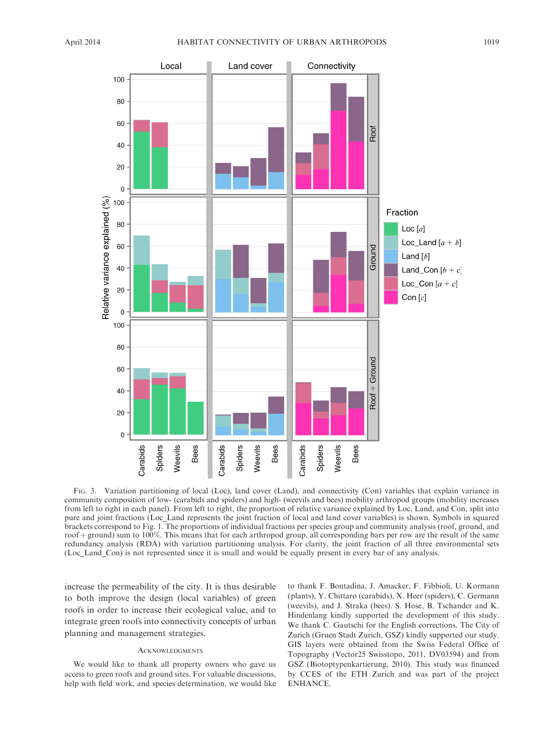

FIG. 3. Variation partitioning of local (Loc), land cover (Land), and connectivity (Con) variables that explain variance in community composition of low- (carabids and spiders) and high- (weevils and bees) mobility arthropod groups (mobility increases from left to right in each panel). From left to right, the proportion of relative variance explained by Loc, Land, and Con, split into pure and joint fractions (Loc\_Land represents the joint fraction of local and land cover variables) is shown. Symbols in squared brackets correspond to Fig. 1. The proportions of individual fractions per species group and community analysis (roof, ground, and roof + ground) sum to 100%. This means that for each arthropod group, all corresponding bars per row are the result of the same redundancy analysis (RDA) with variation partitioning analysis. For clarity, the joint fraction of all three environmental sets (Loc\_Land\_Con) is not represented since it is small and would be equally present in every bar of any analysis.

increase the permeability of the city. It is thus desirable to both improve the design (local variables) of green roofs in order to increase their ecological value, and to integrate green roofs into connectivity concepts of urban planning and management strategies.

## **ACKNOWLEDGMENTS**

We would like to thank all property owners who gave us access to green roofs and ground sites. For valuable discussions, help with field work, and species determination, we would like to thank F. Bontadina, J. Amacker, F. Fibbioli, U. Kormann (plants), Y. Chittaro (carabids), X. Heer (spiders), C. Germann (weevils), and J. Straka (bees). S. Hose, B. Tschander and K. Hindenlang kindly supported the development of this study. We thank C. Gautschi for the English corrections. The City of Zurich (Gruen Stadt Zurich, GSZ) kindly supported our study. GIS layers were obtained from the Swiss Federal Office of Topography (Vector25 Swisstopo, 2011, DV03594) and from GSZ (Biotoptypenkartierung, 2010). This study was financed by CCES of the ETH Zurich and was part of the project ENHANCE.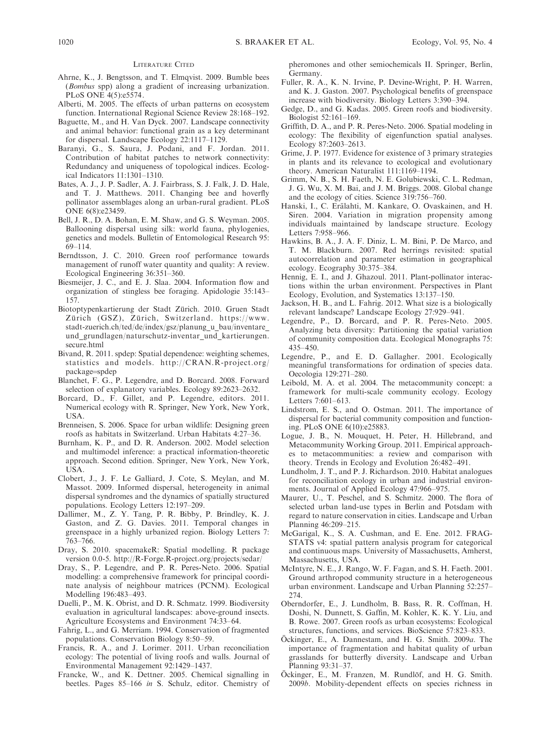#### LITERATURE CITED

- Ahrne, K., J. Bengtsson, and T. Elmqvist. 2009. Bumble bees (Bombus spp) along a gradient of increasing urbanization. PLoS ONE 4(5):e5574.
- Alberti, M. 2005. The effects of urban patterns on ecosystem function. International Regional Science Review 28:168–192.
- Baguette, M., and H. Van Dyck. 2007. Landscape connectivity and animal behavior: functional grain as a key determinant for dispersal. Landscape Ecology 22:1117–1129.
- Baranyi, G., S. Saura, J. Podani, and F. Jordan. 2011. Contribution of habitat patches to network connectivity: Redundancy and uniqueness of topological indices. Ecological Indicators 11:1301–1310.
- Bates, A. J., J. P. Sadler, A. J. Fairbrass, S. J. Falk, J. D. Hale, and T. J. Matthews. 2011. Changing bee and hoverfly pollinator assemblages along an urban-rural gradient. PLoS ONE 6(8):e23459.
- Bell, J. R., D. A. Bohan, E. M. Shaw, and G. S. Weyman. 2005. Ballooning dispersal using silk: world fauna, phylogenies, genetics and models. Bulletin of Entomological Research 95: 69–114.
- Berndtsson, J. C. 2010. Green roof performance towards management of runoff water quantity and quality: A review. Ecological Engineering 36:351–360.
- Biesmeijer, J. C., and E. J. Slaa. 2004. Information flow and organization of stingless bee foraging. Apidologie 35:143– 157.
- Biotoptypenkartierung der Stadt Zürich. 2010. Gruen Stadt Zürich (GSZ), Zürich, Switzerland. https://www. stadt-zuerich.ch/ted/de/index/gsz/planung\_u\_bau/inventare und grundlagen/naturschutz-inventar und kartierungen. secure.html
- Bivand, R. 2011. spdep: Spatial dependence: weighting schemes, statistics and models. http://CRAN.R-project.org/ package=spdep
- Blanchet, F. G., P. Legendre, and D. Borcard. 2008. Forward selection of explanatory variables. Ecology 89:2623–2632.
- Borcard, D., F. Gillet, and P. Legendre, editors. 2011. Numerical ecology with R. Springer, New York, New York, **I**ISA.
- Brenneisen, S. 2006. Space for urban wildlife: Designing green roofs as habitats in Switzerland. Urban Habitats 4:27–36.
- Burnham, K. P., and D. R. Anderson. 2002. Model selection and multimodel inference: a practical information-theoretic approach. Second edition. Springer, New York, New York, USA.
- Clobert, J., J. F. Le Galliard, J. Cote, S. Meylan, and M. Massot. 2009. Informed dispersal, heterogeneity in animal dispersal syndromes and the dynamics of spatially structured populations. Ecology Letters 12:197–209.
- Dallimer, M., Z. Y. Tang, P. R. Bibby, P. Brindley, K. J. Gaston, and Z. G. Davies. 2011. Temporal changes in greenspace in a highly urbanized region. Biology Letters 7: 763–766.
- Dray, S. 2010. spacemakeR: Spatial modelling. R package version 0.0-5. http://R-Forge.R-project.org/projects/sedar/
- Dray, S., P. Legendre, and P. R. Peres-Neto. 2006. Spatial modelling: a comprehensive framework for principal coordinate analysis of neighbour matrices (PCNM). Ecological Modelling 196:483–493.
- Duelli, P., M. K. Obrist, and D. R. Schmatz. 1999. Biodiversity evaluation in agricultural landscapes: above-ground insects. Agriculture Ecosystems and Environment 74:33–64.
- Fahrig, L., and G. Merriam. 1994. Conservation of fragmented populations. Conservation Biology 8:50–59.
- Francis, R. A., and J. Lorimer. 2011. Urban reconciliation ecology: The potential of living roofs and walls. Journal of Environmental Management 92:1429–1437.
- Francke, W., and K. Dettner. 2005. Chemical signalling in beetles. Pages 85–166 in S. Schulz, editor. Chemistry of

pheromones and other semiochemicals II. Springer, Berlin, Germany.

- Fuller, R. A., K. N. Irvine, P. Devine-Wright, P. H. Warren, and K. J. Gaston. 2007. Psychological benefits of greenspace increase with biodiversity. Biology Letters 3:390–394.
- Gedge, D., and G. Kadas. 2005. Green roofs and biodiversity. Biologist 52:161–169.
- Griffith, D. A., and P. R. Peres-Neto. 2006. Spatial modeling in ecology: The flexibility of eigenfunction spatial analyses. Ecology 87:2603–2613.
- Grime, J. P. 1977. Evidence for existence of 3 primary strategies in plants and its relevance to ecological and evolutionary theory. American Naturalist 111:1169–1194.
- Grimm, N. B., S. H. Faeth, N. E. Golubiewski, C. L. Redman, J. G. Wu, X. M. Bai, and J. M. Briggs. 2008. Global change and the ecology of cities. Science 319:756–760.
- Hanski, I., C. Erälahti, M. Kankare, O. Ovaskainen, and H. Siren. 2004. Variation in migration propensity among individuals maintained by landscape structure. Ecology Letters 7:958–966.
- Hawkins, B. A., J. A. F. Diniz, L. M. Bini, P. De Marco, and T. M. Blackburn. 2007. Red herrings revisited: spatial autocorrelation and parameter estimation in geographical ecology. Ecography 30:375–384.
- Hennig, E. I., and J. Ghazoul. 2011. Plant-pollinator interactions within the urban environment. Perspectives in Plant Ecology, Evolution, and Systematics 13:137–150.
- Jackson, H. B., and L. Fahrig. 2012. What size is a biologically relevant landscape? Landscape Ecology 27:929–941.
- Legendre, P., D. Borcard, and P. R. Peres-Neto. 2005. Analyzing beta diversity: Partitioning the spatial variation of community composition data. Ecological Monographs 75: 435–450.
- Legendre, P., and E. D. Gallagher. 2001. Ecologically meaningful transformations for ordination of species data. Oecologia 129:271–280.
- Leibold, M. A. et al. 2004. The metacommunity concept: a framework for multi-scale community ecology. Ecology Letters 7:601–613.
- Lindstrom, E. S., and O. Ostman. 2011. The importance of dispersal for bacterial community composition and functioning. PLoS ONE 6(10):e25883.
- Logue, J. B., N. Mouquet, H. Peter, H. Hillebrand, and Metacommunity Working Group. 2011. Empirical approaches to metacommunities: a review and comparison with theory. Trends in Ecology and Evolution 26:482–491.
- Lundholm, J. T., and P. J. Richardson. 2010. Habitat analogues for reconciliation ecology in urban and industrial environments. Journal of Applied Ecology 47:966–975.
- Maurer, U., T. Peschel, and S. Schmitz. 2000. The flora of selected urban land-use types in Berlin and Potsdam with regard to nature conservation in cities. Landscape and Urban Planning 46:209–215.
- McGarigal, K., S. A. Cushman, and E. Ene. 2012. FRAG-STATS v4: spatial pattern analysis program for categorical and continuous maps. University of Massachusetts, Amherst, Massachusetts, USA.
- McIntyre, N. E., J. Rango, W. F. Fagan, and S. H. Faeth. 2001. Ground arthropod community structure in a heterogeneous urban environment. Landscape and Urban Planning 52:257– 274.
- Oberndorfer, E., J. Lundholm, B. Bass, R. R. Coffman, H. Doshi, N. Dunnett, S. Gaffin, M. Kohler, K. K. Y. Liu, and B. Rowe. 2007. Green roofs as urban ecosystems: Ecological structures, functions, and services. BioScience 57:823–833.
- Öckinger, E., A. Dannestam, and H. G. Smith. 2009a. The importance of fragmentation and habitat quality of urban grasslands for butterfly diversity. Landscape and Urban Planning 93:31–37.
- Öckinger, E., M. Franzen, M. Rundlöf, and H. G. Smith. 2009b. Mobility-dependent effects on species richness in